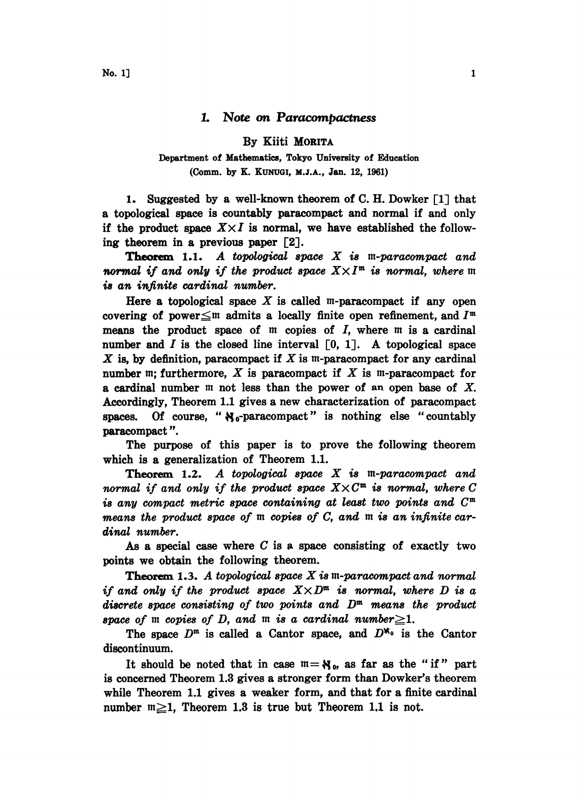## L Note on Paracompactness

By Kiiti MORITA

## Department of Mathematics, Tokyo University of Education (Comm. by K. KUNUGI, M.J.A., Jan. 12, 1961)

1. Suggested by a well-known theorem of C. H. Dowker [1] that a topological space is countably paracompact and normal if and only if the product space  $X \times I$  is normal, we have established the following theorem in a previous paper [2].

**Theorem 1.1.** A topological space  $X$  is m-paracompact and normal if and only if the product space  $X \times I^{\mathfrak{m}}$  is normal, where  $\mathfrak{m}$ is an infinite cardinal number.

Here a topological space  $X$  is called m-paracompact if any open covering of power $\leq$ m admits a locally finite open refinement, and  $I^{\mathfrak{m}}$ means the product space of  $m$  copies of  $I$ , where  $m$  is a cardinal number and I is the closed line interval  $\lceil 0, 1 \rceil$ . A topological space X is, by definition, paracompact if X is  $m$ -paracompact for any cardinal number m; furthermore,  $X$  is paracompact if  $X$  is m-paracompact for a cardinal number  $m$  not less than the power of an open base of X. Accordingly, Theorem 1.1 gives a new characterization of paracompact spaces. Of course, " $N_0$ -paracompact" is nothing else "countably paracompact ".

The purpose of this paper is to prove the following theorem which is a generalization of Theorem 1.1.

**Theorem 1.2.** A topological space  $X$  is m-paracompact and normal if and only if the product space  $X \times C^{\mathfrak{m}}$  is normal, where C is any compact metric space containing at least two points and  $C^{\mathfrak{m}}$ means the product space of  $m$  copies of  $C$ , and  $m$  is an infinite cardinal number.

As a special case where  $C$  is a space consisting of exactly two points we obtain the following theorem.

**Theorem 1.3.** A topological space  $X$  is  $m$ -paracompact and normal if and only if the product space  $X \times D^{\mathfrak{m}}$  is normal, where D is a discrete space consisting of two points and  $D<sup>m</sup>$  means the product space of m copies of D, and m is a cardinal number $\geq$ 1.

The space  $D^m$  is called a Cantor space, and  $D^{k_0}$  is the Cantor discontinuum.

It should be noted that in case  $m = N_0$ , as far as the "if" part is concerned Theorem 1.3 gives a stronger form than Dowker's theorem while Theorem 1.1 gives a weaker form, and that for a finite cardinal number  $m \geq 1$ , Theorem 1.3 is true but Theorem 1.1 is not.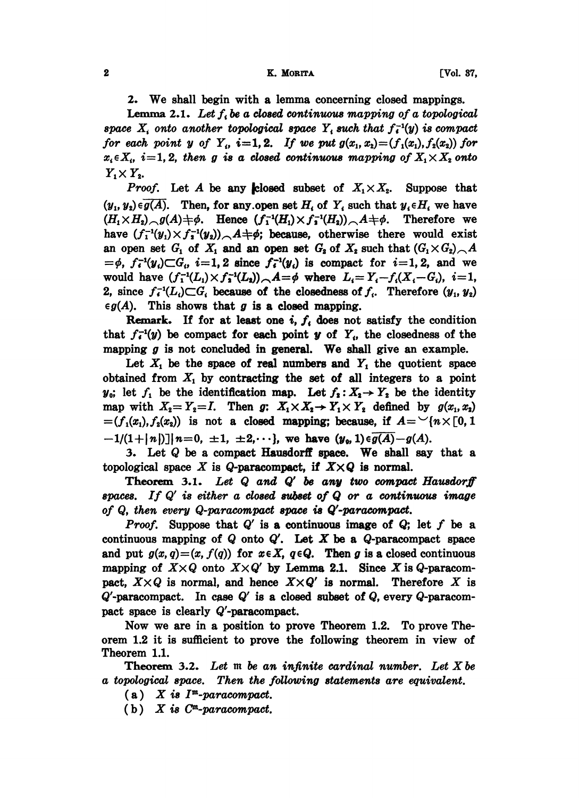## 2 K. MORITA [Vol. 37,

2. We shall begin with a lemma concerning closed mappings.

**Lemma 2.1.** Let  $f_i$  be a closed continuous mapping of a topological space  $X_i$  onto another topological space  $Y_i$  such that  $f_i^{-1}(y)$  is compact for each point y of  $Y_i$ ,  $i=1,2$ . If we put  $g(x_1, x_2)=(f_1(x_1), f_2(x_2))$  for  $x_i \in X_i$ ,  $i=1, 2$ , then g is a closed continuous mapping of  $X_1 \times X_2$  onto  $Y_1 \times Y_2$ .

*Proof.* Let A be any closed subset of  $X_1 \times X_2$ . Suppose that  $(y_1, y_2) \in \overline{g(A)}$ . Then, for any open set  $H_i$  of  $Y_i$  such that  $y_i \in H_i$  we have  $(H_1\times H_2)_{\frown} g(A)+\phi$ . Hence  $(f_1^{-1}(H_1)\times f_1^{-1}(H_2))_{\frown}A+\phi$ . Therefore we have  $(f_1^{-1}(y_1)\times f_2^{-1}(y_2))$   $\land$  A + $\phi$ ; because, otherwise there would exist have  $(f_1^{-1}(y_1) \times f_2^{-1}(y_2)) \wedge A + \phi$ ; because, otherwise there would exist an open set  $G_1$  of  $X_1$  and an open set  $G_2$  of  $X_2$  such that  $(G_1 \times G_2) \wedge A$ an open set  $G_1$  of  $X_1$  and an open set  $G_2$  of  $X_2$  such that  $(G_1 \times G_2)$   $\sim$   $A = \phi$ ,  $f_i^{-1}(y_i) \subset G_i$ ,  $i = 1, 2$  since  $f_i^{-1}(y_i)$  is compact for  $i = 1, 2$ , and we would have  $(f_1^{-1}(L_1)\times f_2^{-1}(L_2))$ ,  $A=\phi$  where  $L_i=Y_i-f_i(X_i-G_i), i=1,$ 2, since  $f_i^{-1}(L_i) \subset G_i$  because of the closedness of  $f_i$ . Therefore  $(y_1, y_2)$  $\epsilon g(A)$ . This shows that g is a closed mapping.

Remark. If for at least one i,  $f_i$  does not satisfy the condition that  $f_i^{-1}(y)$  be compact for each point y of Y<sub>i</sub>, the closedness of the mapping  $g$  is not concluded in general. We shall give an example.

Let  $X_1$  be the space of real numbers and  $Y_1$  the quotient space obtained from  $X_1$  by contracting the set of all integers to a point  $y_0$ ; let  $f_1$  be the identification map. Let  $f_2: X_2 \rightarrow Y_2$  be the identity map with  $X_2 = Y_2 = I$ . Then  $g: X_1 \times X_2 \rightarrow Y_1 \times Y_2$  defined by  $g(x_1, x_2)$  $=(f_1(x_1),f_2(x_2))$  is not a closed mapping; because, if  $A=\{n\times[0,1]\}$  $-1/(1+|n|)|n=0, \pm 1, \pm 2,...$ , we have  $(y_0, 1) \in \overline{g(A)}-g(A)$ .

3. Let Q be a compact Hausdorff space. We shall say that <sup>a</sup> topological space X is Q-paracompact, if  $X \times Q$  is normal.

Theorem 3.1. Let  $Q$  and  $Q'$  be any two compact Hausdorff spaces. If  $Q'$  is either a closed subset of  $Q$  or a continuous image of  $Q$ , then every  $Q$ -paracompact space is  $Q'$ -paracompact.

*Proof.* Suppose that  $Q'$  is a continuous image of  $Q$ ; let f be a continuous mapping of  $Q$  onto  $Q'$ . Let  $X$  be a  $Q$ -paracompact space and put  $g(x, q)=(x, f(q))$  for  $x \in X$ ,  $q \in Q$ . Then g is a closed continuous mapping of  $X \times Q$  onto  $X \times Q'$  by Lemma 2.1. Since X is Q-paracommapping of  $X \times Q$  onto  $X \times Q'$  by Lemma 2.1. Since X is  $Q$ -paracom-<br>pact,  $X \times Q$  is normal, and hence  $X \times Q'$  is normal. Therefore X is  $Q'$ -paracompact. In case  $Q'$  is a closed subset of  $Q$ , every  $Q$ -paracompact space is clearly Q'-paracompact.

Now we are in a position to prove Theorem 1.2. To prove Theorem 1.2 it is sufficient to prove the following theorem in view of Theorem 1.1.

Theorem 3.2. Let  $m$  be an infinite cardinal number. Let  $X$  be a topological space. Then the following statements are equivalent.

 $(a)$  X is  $I<sup>m</sup>$ -paracompact.

(b) X is  $C^m$ -paracompact.